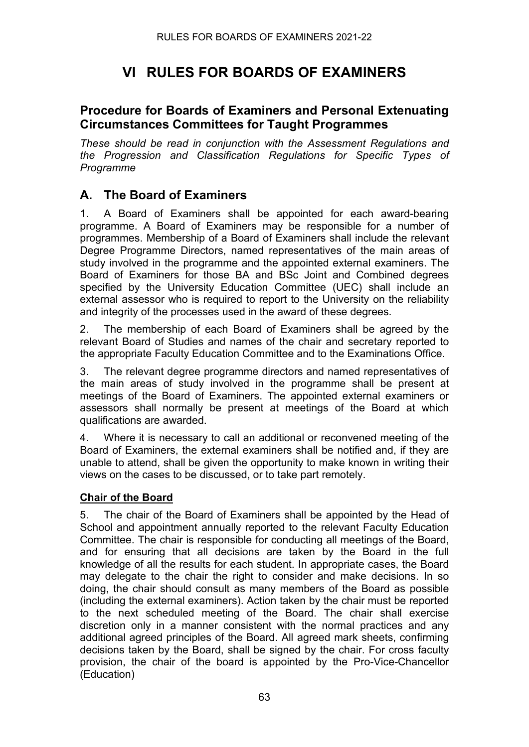# **VI RULES FOR BOARDS OF EXAMINERS**

### **Procedure for Boards of Examiners and Personal Extenuating Circumstances Committees for Taught Programmes**

*These should be read in conjunction with the Assessment Regulations and the Progression and Classification Regulations for Specific Types of Programme*

### **A. The Board of Examiners**

1. A Board of Examiners shall be appointed for each award-bearing programme. A Board of Examiners may be responsible for a number of programmes. Membership of a Board of Examiners shall include the relevant Degree Programme Directors, named representatives of the main areas of study involved in the programme and the appointed external examiners. The Board of Examiners for those BA and BSc Joint and Combined degrees specified by the University Education Committee (UEC) shall include an external assessor who is required to report to the University on the reliability and integrity of the processes used in the award of these degrees.

2. The membership of each Board of Examiners shall be agreed by the relevant Board of Studies and names of the chair and secretary reported to the appropriate Faculty Education Committee and to the Examinations Office.

3. The relevant degree programme directors and named representatives of the main areas of study involved in the programme shall be present at meetings of the Board of Examiners. The appointed external examiners or assessors shall normally be present at meetings of the Board at which qualifications are awarded.

4. Where it is necessary to call an additional or reconvened meeting of the Board of Examiners, the external examiners shall be notified and, if they are unable to attend, shall be given the opportunity to make known in writing their views on the cases to be discussed, or to take part remotely.

#### **Chair of the Board**

5. The chair of the Board of Examiners shall be appointed by the Head of School and appointment annually reported to the relevant Faculty Education Committee. The chair is responsible for conducting all meetings of the Board, and for ensuring that all decisions are taken by the Board in the full knowledge of all the results for each student. In appropriate cases, the Board may delegate to the chair the right to consider and make decisions. In so doing, the chair should consult as many members of the Board as possible (including the external examiners). Action taken by the chair must be reported to the next scheduled meeting of the Board. The chair shall exercise discretion only in a manner consistent with the normal practices and any additional agreed principles of the Board. All agreed mark sheets, confirming decisions taken by the Board, shall be signed by the chair. For cross faculty provision, the chair of the board is appointed by the Pro-Vice-Chancellor (Education)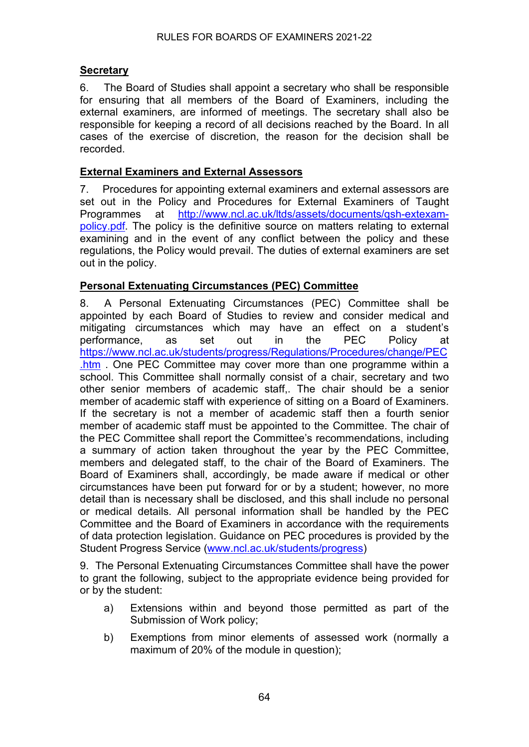#### **Secretary**

6. The Board of Studies shall appoint a secretary who shall be responsible for ensuring that all members of the Board of Examiners, including the external examiners, are informed of meetings. The secretary shall also be responsible for keeping a record of all decisions reached by the Board. In all cases of the exercise of discretion, the reason for the decision shall be recorded.

#### **External Examiners and External Assessors**

7. Procedures for appointing external examiners and external assessors are set out in the Policy and Procedures for External Examiners of Taught Programmes at [http://www.ncl.ac.uk/ltds/assets/documents/qsh-extexam](http://www.ncl.ac.uk/ltds/assets/documents/qsh-extexam-policy.pdf)[policy.pdf.](http://www.ncl.ac.uk/ltds/assets/documents/qsh-extexam-policy.pdf) The policy is the definitive source on matters relating to external examining and in the event of any conflict between the policy and these regulations, the Policy would prevail. The duties of external examiners are set out in the policy.

#### **Personal Extenuating Circumstances (PEC) Committee**

8. A Personal Extenuating Circumstances (PEC) Committee shall be appointed by each Board of Studies to review and consider medical and mitigating circumstances which may have an effect on a student's performance, as set out in the PEC Policy at [https://www.ncl.ac.uk/students/progress/Regulations/Procedures/change/PEC](https://www.ncl.ac.uk/students/progress/Regulations/Procedures/change/PEC.htm) [.htm](https://www.ncl.ac.uk/students/progress/Regulations/Procedures/change/PEC.htm) . One PEC Committee may cover more than one programme within a school. This Committee shall normally consist of a chair, secretary and two other senior members of academic staff,. The chair should be a senior member of academic staff with experience of sitting on a Board of Examiners. If the secretary is not a member of academic staff then a fourth senior member of academic staff must be appointed to the Committee. The chair of the PEC Committee shall report the Committee's recommendations, including a summary of action taken throughout the year by the PEC Committee, members and delegated staff, to the chair of the Board of Examiners. The Board of Examiners shall, accordingly, be made aware if medical or other circumstances have been put forward for or by a student; however, no more detail than is necessary shall be disclosed, and this shall include no personal or medical details. All personal information shall be handled by the PEC Committee and the Board of Examiners in accordance with the requirements of data protection legislation. Guidance on PEC procedures is provided by the Student Progress Service [\(www.ncl.ac.uk/students/progress\)](http://www.ncl.ac.uk/students/progress)

9. The Personal Extenuating Circumstances Committee shall have the power to grant the following, subject to the appropriate evidence being provided for or by the student:

- a) Extensions within and beyond those permitted as part of the Submission of Work policy;
- b) Exemptions from minor elements of assessed work (normally a maximum of 20% of the module in question);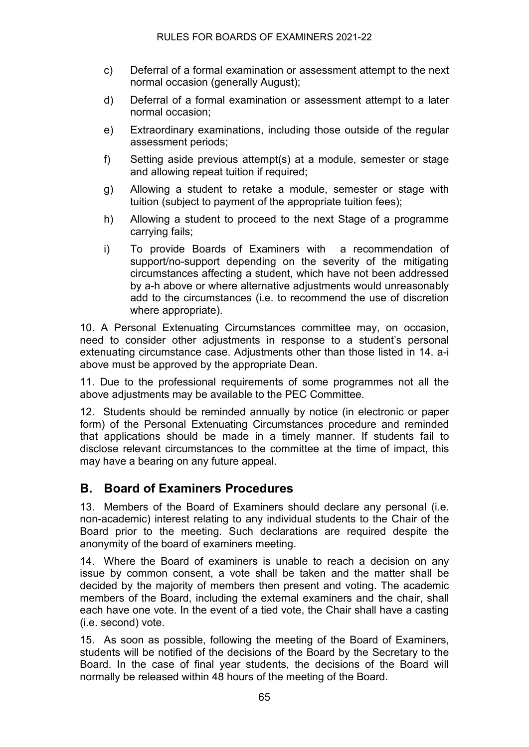- c) Deferral of a formal examination or assessment attempt to the next normal occasion (generally August);
- d) Deferral of a formal examination or assessment attempt to a later normal occasion;
- e) Extraordinary examinations, including those outside of the regular assessment periods;
- f) Setting aside previous attempt(s) at a module, semester or stage and allowing repeat tuition if required;
- g) Allowing a student to retake a module, semester or stage with tuition (subject to payment of the appropriate tuition fees);
- h) Allowing a student to proceed to the next Stage of a programme carrying fails;
- i) To provide Boards of Examiners with a recommendation of support/no-support depending on the severity of the mitigating circumstances affecting a student, which have not been addressed by a-h above or where alternative adjustments would unreasonably add to the circumstances (i.e. to recommend the use of discretion where appropriate).

10. A Personal Extenuating Circumstances committee may, on occasion, need to consider other adjustments in response to a student's personal extenuating circumstance case. Adjustments other than those listed in 14. a-i above must be approved by the appropriate Dean.

11. Due to the professional requirements of some programmes not all the above adjustments may be available to the PEC Committee.

12. Students should be reminded annually by notice (in electronic or paper form) of the Personal Extenuating Circumstances procedure and reminded that applications should be made in a timely manner. If students fail to disclose relevant circumstances to the committee at the time of impact, this may have a bearing on any future appeal.

### **B. Board of Examiners Procedures**

13. Members of the Board of Examiners should declare any personal (i.e. non-academic) interest relating to any individual students to the Chair of the Board prior to the meeting. Such declarations are required despite the anonymity of the board of examiners meeting.

14. Where the Board of examiners is unable to reach a decision on any issue by common consent, a vote shall be taken and the matter shall be decided by the majority of members then present and voting. The academic members of the Board, including the external examiners and the chair, shall each have one vote. In the event of a tied vote, the Chair shall have a casting (i.e. second) vote.

15. As soon as possible, following the meeting of the Board of Examiners, students will be notified of the decisions of the Board by the Secretary to the Board. In the case of final year students, the decisions of the Board will normally be released within 48 hours of the meeting of the Board.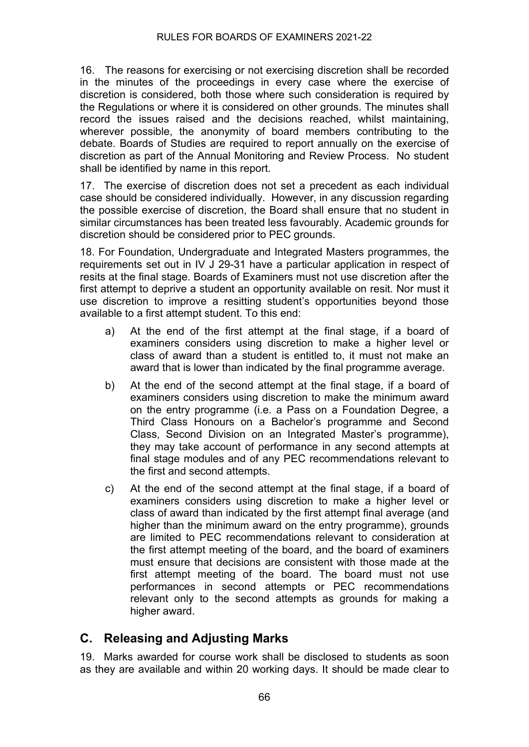16. The reasons for exercising or not exercising discretion shall be recorded in the minutes of the proceedings in every case where the exercise of discretion is considered, both those where such consideration is required by the Regulations or where it is considered on other grounds. The minutes shall record the issues raised and the decisions reached, whilst maintaining, wherever possible, the anonymity of board members contributing to the debate. Boards of Studies are required to report annually on the exercise of discretion as part of the Annual Monitoring and Review Process. No student shall be identified by name in this report.

17. The exercise of discretion does not set a precedent as each individual case should be considered individually. However, in any discussion regarding the possible exercise of discretion, the Board shall ensure that no student in similar circumstances has been treated less favourably. Academic grounds for discretion should be considered prior to PEC grounds.

18. For Foundation, Undergraduate and Integrated Masters programmes, the requirements set out in IV J 29-31 have a particular application in respect of resits at the final stage. Boards of Examiners must not use discretion after the first attempt to deprive a student an opportunity available on resit. Nor must it use discretion to improve a resitting student's opportunities beyond those available to a first attempt student. To this end:

- a) At the end of the first attempt at the final stage, if a board of examiners considers using discretion to make a higher level or class of award than a student is entitled to, it must not make an award that is lower than indicated by the final programme average.
- b) At the end of the second attempt at the final stage, if a board of examiners considers using discretion to make the minimum award on the entry programme (i.e. a Pass on a Foundation Degree, a Third Class Honours on a Bachelor's programme and Second Class, Second Division on an Integrated Master's programme), they may take account of performance in any second attempts at final stage modules and of any PEC recommendations relevant to the first and second attempts.
- c) At the end of the second attempt at the final stage, if a board of examiners considers using discretion to make a higher level or class of award than indicated by the first attempt final average (and higher than the minimum award on the entry programme), grounds are limited to PEC recommendations relevant to consideration at the first attempt meeting of the board, and the board of examiners must ensure that decisions are consistent with those made at the first attempt meeting of the board. The board must not use performances in second attempts or PEC recommendations relevant only to the second attempts as grounds for making a higher award.

### **C. Releasing and Adjusting Marks**

19. Marks awarded for course work shall be disclosed to students as soon as they are available and within 20 working days. It should be made clear to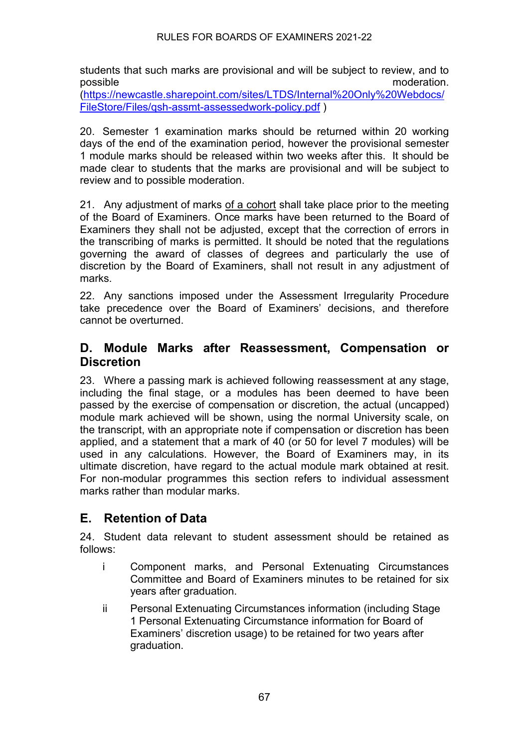#### RULES FOR BOARDS OF EXAMINERS 2021-22

students that such marks are provisional and will be subject to review, and to possible moderation. [\(https://newcastle.sharepoint.com/sites/LTDS/Internal%20Only%20Webdocs/](https://newcastle.sharepoint.com/sites/LTDS/Internal%20Only%20Webdocs/FileStore/Files/qsh-assmt-assessedwork-policy.pdf)

[FileStore/Files/qsh-assmt-assessedwork-policy.pdf](https://newcastle.sharepoint.com/sites/LTDS/Internal%20Only%20Webdocs/FileStore/Files/qsh-assmt-assessedwork-policy.pdf) )

20. Semester 1 examination marks should be returned within 20 working days of the end of the examination period, however the provisional semester 1 module marks should be released within two weeks after this. It should be made clear to students that the marks are provisional and will be subject to review and to possible moderation.

21. Any adjustment of marks of a cohort shall take place prior to the meeting of the Board of Examiners. Once marks have been returned to the Board of Examiners they shall not be adjusted, except that the correction of errors in the transcribing of marks is permitted. It should be noted that the regulations governing the award of classes of degrees and particularly the use of discretion by the Board of Examiners, shall not result in any adjustment of marks.

22. Any sanctions imposed under the Assessment Irregularity Procedure take precedence over the Board of Examiners' decisions, and therefore cannot be overturned.

### **D. Module Marks after Reassessment, Compensation or Discretion**

23. Where a passing mark is achieved following reassessment at any stage, including the final stage, or a modules has been deemed to have been passed by the exercise of compensation or discretion, the actual (uncapped) module mark achieved will be shown, using the normal University scale, on the transcript, with an appropriate note if compensation or discretion has been applied, and a statement that a mark of 40 (or 50 for level 7 modules) will be used in any calculations. However, the Board of Examiners may, in its ultimate discretion, have regard to the actual module mark obtained at resit. For non-modular programmes this section refers to individual assessment marks rather than modular marks.

### **E. Retention of Data**

24. Student data relevant to student assessment should be retained as follows:

- i Component marks, and Personal Extenuating Circumstances Committee and Board of Examiners minutes to be retained for six years after graduation.
- ii Personal Extenuating Circumstances information (including Stage 1 Personal Extenuating Circumstance information for Board of Examiners' discretion usage) to be retained for two years after graduation.